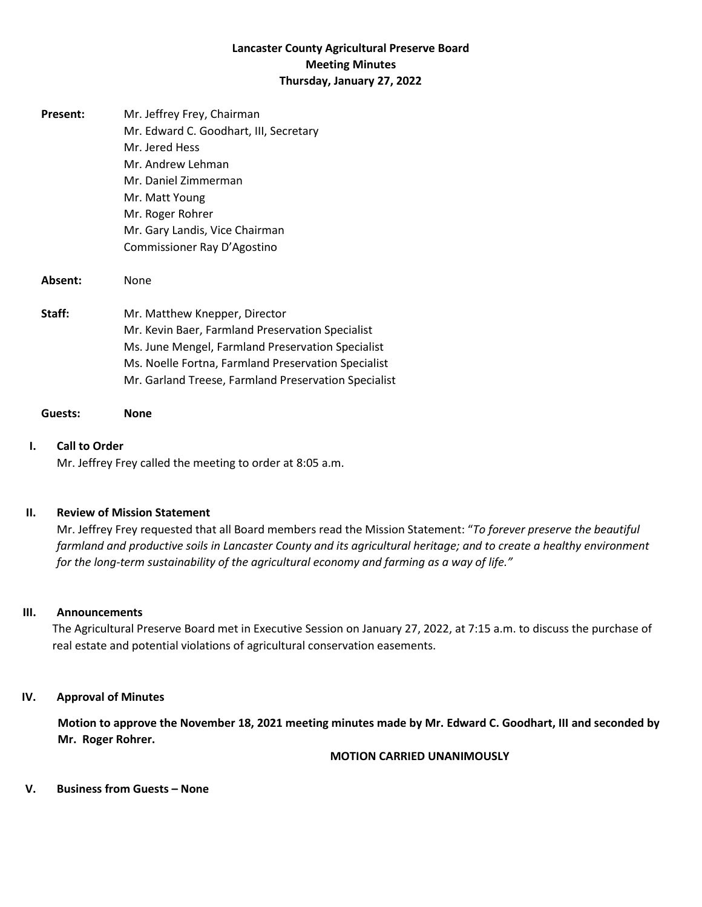# **Lancaster County Agricultural Preserve Board Meeting Minutes Thursday, January 27, 2022**

| Present: | Mr. Jeffrey Frey, Chairman<br>Mr. Edward C. Goodhart, III, Secretary<br>Mr. Jered Hess<br>Mr. Andrew Lehman<br>Mr. Daniel Zimmerman<br>Mr. Matt Young<br>Mr. Roger Rohrer<br>Mr. Gary Landis, Vice Chairman<br>Commissioner Ray D'Agostino            |
|----------|-------------------------------------------------------------------------------------------------------------------------------------------------------------------------------------------------------------------------------------------------------|
| Absent:  | None                                                                                                                                                                                                                                                  |
| Staff:   | Mr. Matthew Knepper, Director<br>Mr. Kevin Baer, Farmland Preservation Specialist<br>Ms. June Mengel, Farmland Preservation Specialist<br>Ms. Noelle Fortna, Farmland Preservation Specialist<br>Mr. Garland Treese, Farmland Preservation Specialist |

#### **Guests: None**

#### **I. Call to Order**

Mr. Jeffrey Frey called the meeting to order at 8:05 a.m.

#### **II. Review of Mission Statement**

Mr. Jeffrey Frey requested that all Board members read the Mission Statement: "*To forever preserve the beautiful farmland and productive soils in Lancaster County and its agricultural heritage; and to create a healthy environment for the long-term sustainability of the agricultural economy and farming as a way of life."*

#### **III. Announcements**

The Agricultural Preserve Board met in Executive Session on January 27, 2022, at 7:15 a.m. to discuss the purchase of real estate and potential violations of agricultural conservation easements.

#### **IV. Approval of Minutes**

**Motion to approve the November 18, 2021 meeting minutes made by Mr. Edward C. Goodhart, III and seconded by Mr. Roger Rohrer.**

#### **MOTION CARRIED UNANIMOUSLY**

#### **V. Business from Guests – None**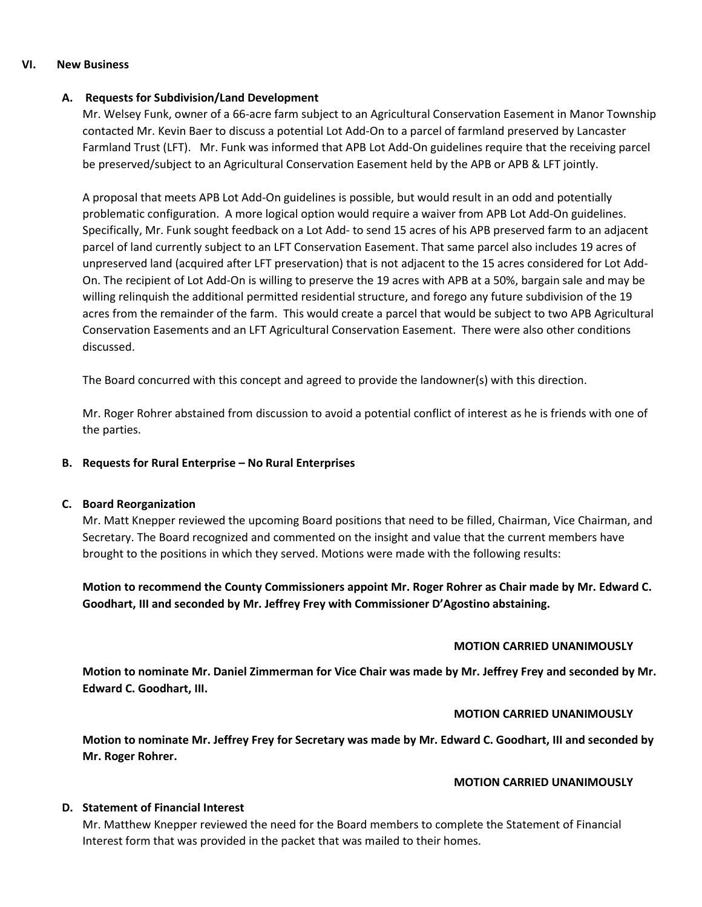#### **VI. New Business**

## **A. Requests for Subdivision/Land Development**

Mr. Welsey Funk, owner of a 66-acre farm subject to an Agricultural Conservation Easement in Manor Township contacted Mr. Kevin Baer to discuss a potential Lot Add-On to a parcel of farmland preserved by Lancaster Farmland Trust (LFT). Mr. Funk was informed that APB Lot Add-On guidelines require that the receiving parcel be preserved/subject to an Agricultural Conservation Easement held by the APB or APB & LFT jointly.

A proposal that meets APB Lot Add-On guidelines is possible, but would result in an odd and potentially problematic configuration. A more logical option would require a waiver from APB Lot Add-On guidelines. Specifically, Mr. Funk sought feedback on a Lot Add- to send 15 acres of his APB preserved farm to an adjacent parcel of land currently subject to an LFT Conservation Easement. That same parcel also includes 19 acres of unpreserved land (acquired after LFT preservation) that is not adjacent to the 15 acres considered for Lot Add-On. The recipient of Lot Add-On is willing to preserve the 19 acres with APB at a 50%, bargain sale and may be willing relinquish the additional permitted residential structure, and forego any future subdivision of the 19 acres from the remainder of the farm. This would create a parcel that would be subject to two APB Agricultural Conservation Easements and an LFT Agricultural Conservation Easement. There were also other conditions discussed.

The Board concurred with this concept and agreed to provide the landowner(s) with this direction.

Mr. Roger Rohrer abstained from discussion to avoid a potential conflict of interest as he is friends with one of the parties.

### **B. Requests for Rural Enterprise – No Rural Enterprises**

### **C. Board Reorganization**

Mr. Matt Knepper reviewed the upcoming Board positions that need to be filled, Chairman, Vice Chairman, and Secretary. The Board recognized and commented on the insight and value that the current members have brought to the positions in which they served. Motions were made with the following results:

**Motion to recommend the County Commissioners appoint Mr. Roger Rohrer as Chair made by Mr. Edward C. Goodhart, III and seconded by Mr. Jeffrey Frey with Commissioner D'Agostino abstaining.**

### **MOTION CARRIED UNANIMOUSLY**

**Motion to nominate Mr. Daniel Zimmerman for Vice Chair was made by Mr. Jeffrey Frey and seconded by Mr. Edward C. Goodhart, III.**

### **MOTION CARRIED UNANIMOUSLY**

**Motion to nominate Mr. Jeffrey Frey for Secretary was made by Mr. Edward C. Goodhart, III and seconded by Mr. Roger Rohrer.**

### **MOTION CARRIED UNANIMOUSLY**

### **D. Statement of Financial Interest**

Mr. Matthew Knepper reviewed the need for the Board members to complete the Statement of Financial Interest form that was provided in the packet that was mailed to their homes.